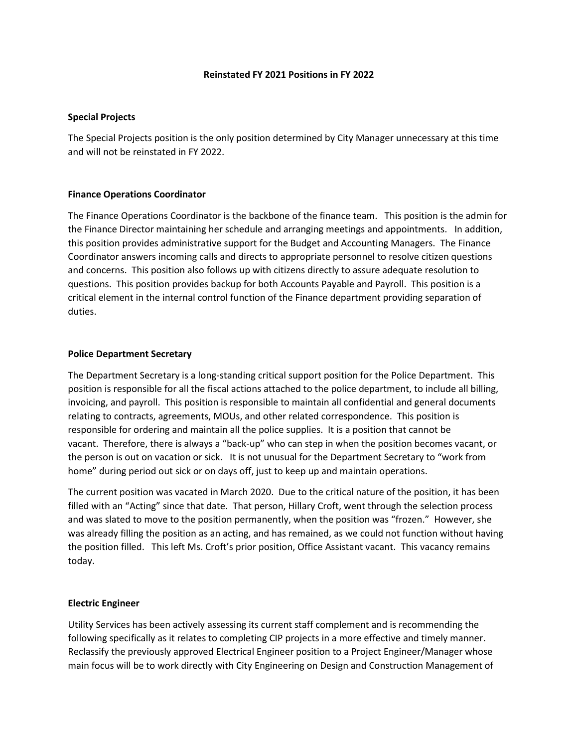#### **Reinstated FY 2021 Positions in FY 2022**

# **Special Projects**

The Special Projects position is the only position determined by City Manager unnecessary at this time and will not be reinstated in FY 2022.

# **Finance Operations Coordinator**

The Finance Operations Coordinator is the backbone of the finance team. This position is the admin for the Finance Director maintaining her schedule and arranging meetings and appointments. In addition, this position provides administrative support for the Budget and Accounting Managers. The Finance Coordinator answers incoming calls and directs to appropriate personnel to resolve citizen questions and concerns. This position also follows up with citizens directly to assure adequate resolution to questions. This position provides backup for both Accounts Payable and Payroll. This position is a critical element in the internal control function of the Finance department providing separation of duties.

# **Police Department Secretary**

The Department Secretary is a long-standing critical support position for the Police Department. This position is responsible for all the fiscal actions attached to the police department, to include all billing, invoicing, and payroll. This position is responsible to maintain all confidential and general documents relating to contracts, agreements, MOUs, and other related correspondence. This position is responsible for ordering and maintain all the police supplies. It is a position that cannot be vacant. Therefore, there is always a "back-up" who can step in when the position becomes vacant, or the person is out on vacation or sick. It is not unusual for the Department Secretary to "work from home" during period out sick or on days off, just to keep up and maintain operations.

The current position was vacated in March 2020. Due to the critical nature of the position, it has been filled with an "Acting" since that date. That person, Hillary Croft, went through the selection process and was slated to move to the position permanently, when the position was "frozen." However, she was already filling the position as an acting, and has remained, as we could not function without having the position filled. This left Ms. Croft's prior position, Office Assistant vacant. This vacancy remains today.

# **Electric Engineer**

Utility Services has been actively assessing its current staff complement and is recommending the following specifically as it relates to completing CIP projects in a more effective and timely manner. Reclassify the previously approved Electrical Engineer position to a Project Engineer/Manager whose main focus will be to work directly with City Engineering on Design and Construction Management of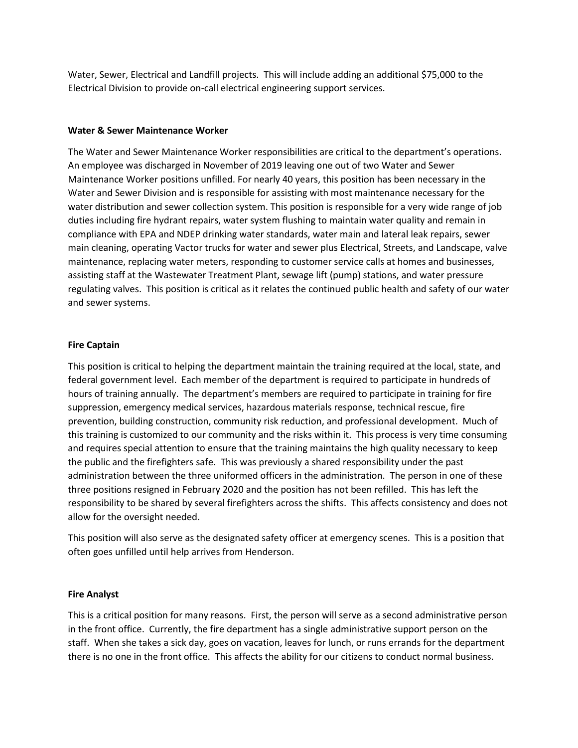Water, Sewer, Electrical and Landfill projects. This will include adding an additional \$75,000 to the Electrical Division to provide on-call electrical engineering support services.

## **Water & Sewer Maintenance Worker**

The Water and Sewer Maintenance Worker responsibilities are critical to the department's operations. An employee was discharged in November of 2019 leaving one out of two Water and Sewer Maintenance Worker positions unfilled. For nearly 40 years, this position has been necessary in the Water and Sewer Division and is responsible for assisting with most maintenance necessary for the water distribution and sewer collection system. This position is responsible for a very wide range of job duties including fire hydrant repairs, water system flushing to maintain water quality and remain in compliance with EPA and NDEP drinking water standards, water main and lateral leak repairs, sewer main cleaning, operating Vactor trucks for water and sewer plus Electrical, Streets, and Landscape, valve maintenance, replacing water meters, responding to customer service calls at homes and businesses, assisting staff at the Wastewater Treatment Plant, sewage lift (pump) stations, and water pressure regulating valves. This position is critical as it relates the continued public health and safety of our water and sewer systems.

### **Fire Captain**

This position is critical to helping the department maintain the training required at the local, state, and federal government level. Each member of the department is required to participate in hundreds of hours of training annually. The department's members are required to participate in training for fire suppression, emergency medical services, hazardous materials response, technical rescue, fire prevention, building construction, community risk reduction, and professional development. Much of this training is customized to our community and the risks within it. This process is very time consuming and requires special attention to ensure that the training maintains the high quality necessary to keep the public and the firefighters safe. This was previously a shared responsibility under the past administration between the three uniformed officers in the administration. The person in one of these three positions resigned in February 2020 and the position has not been refilled. This has left the responsibility to be shared by several firefighters across the shifts. This affects consistency and does not allow for the oversight needed.

This position will also serve as the designated safety officer at emergency scenes. This is a position that often goes unfilled until help arrives from Henderson.

# **Fire Analyst**

This is a critical position for many reasons. First, the person will serve as a second administrative person in the front office. Currently, the fire department has a single administrative support person on the staff. When she takes a sick day, goes on vacation, leaves for lunch, or runs errands for the department there is no one in the front office. This affects the ability for our citizens to conduct normal business.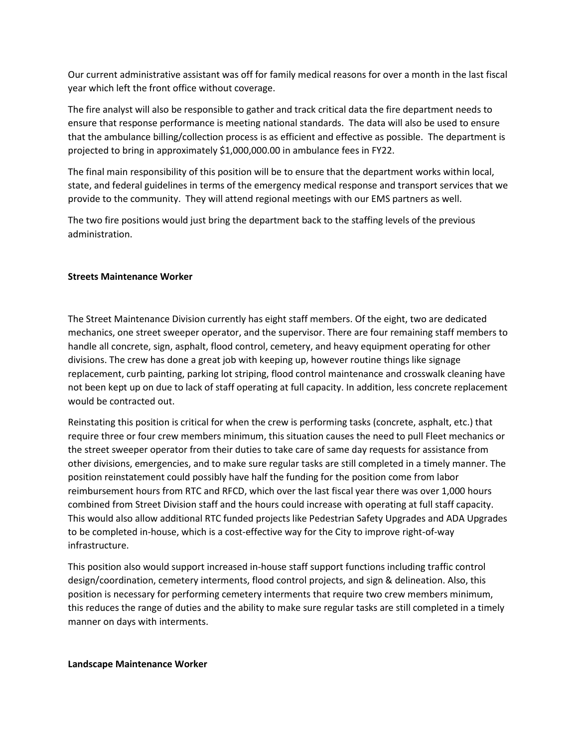Our current administrative assistant was off for family medical reasons for over a month in the last fiscal year which left the front office without coverage.

The fire analyst will also be responsible to gather and track critical data the fire department needs to ensure that response performance is meeting national standards. The data will also be used to ensure that the ambulance billing/collection process is as efficient and effective as possible. The department is projected to bring in approximately \$1,000,000.00 in ambulance fees in FY22.

The final main responsibility of this position will be to ensure that the department works within local, state, and federal guidelines in terms of the emergency medical response and transport services that we provide to the community. They will attend regional meetings with our EMS partners as well.

The two fire positions would just bring the department back to the staffing levels of the previous administration.

### **Streets Maintenance Worker**

The Street Maintenance Division currently has eight staff members. Of the eight, two are dedicated mechanics, one street sweeper operator, and the supervisor. There are four remaining staff members to handle all concrete, sign, asphalt, flood control, cemetery, and heavy equipment operating for other divisions. The crew has done a great job with keeping up, however routine things like signage replacement, curb painting, parking lot striping, flood control maintenance and crosswalk cleaning have not been kept up on due to lack of staff operating at full capacity. In addition, less concrete replacement would be contracted out.

Reinstating this position is critical for when the crew is performing tasks (concrete, asphalt, etc.) that require three or four crew members minimum, this situation causes the need to pull Fleet mechanics or the street sweeper operator from their duties to take care of same day requests for assistance from other divisions, emergencies, and to make sure regular tasks are still completed in a timely manner. The position reinstatement could possibly have half the funding for the position come from labor reimbursement hours from RTC and RFCD, which over the last fiscal year there was over 1,000 hours combined from Street Division staff and the hours could increase with operating at full staff capacity. This would also allow additional RTC funded projects like Pedestrian Safety Upgrades and ADA Upgrades to be completed in-house, which is a cost-effective way for the City to improve right-of-way infrastructure.

This position also would support increased in-house staff support functions including traffic control design/coordination, cemetery interments, flood control projects, and sign & delineation. Also, this position is necessary for performing cemetery interments that require two crew members minimum, this reduces the range of duties and the ability to make sure regular tasks are still completed in a timely manner on days with interments.

#### **Landscape Maintenance Worker**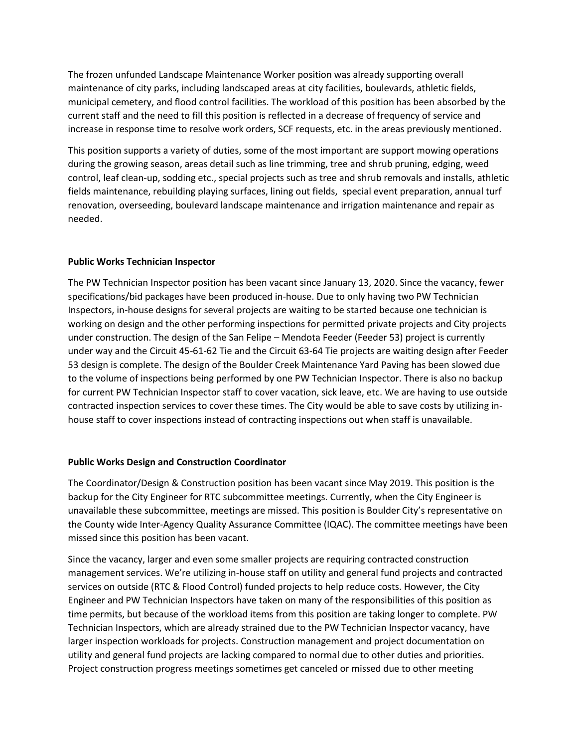The frozen unfunded Landscape Maintenance Worker position was already supporting overall maintenance of city parks, including landscaped areas at city facilities, boulevards, athletic fields, municipal cemetery, and flood control facilities. The workload of this position has been absorbed by the current staff and the need to fill this position is reflected in a decrease of frequency of service and increase in response time to resolve work orders, SCF requests, etc. in the areas previously mentioned.

This position supports a variety of duties, some of the most important are support mowing operations during the growing season, areas detail such as line trimming, tree and shrub pruning, edging, weed control, leaf clean-up, sodding etc., special projects such as tree and shrub removals and installs, athletic fields maintenance, rebuilding playing surfaces, lining out fields, special event preparation, annual turf renovation, overseeding, boulevard landscape maintenance and irrigation maintenance and repair as needed.

# **Public Works Technician Inspector**

The PW Technician Inspector position has been vacant since January 13, 2020. Since the vacancy, fewer specifications/bid packages have been produced in-house. Due to only having two PW Technician Inspectors, in-house designs for several projects are waiting to be started because one technician is working on design and the other performing inspections for permitted private projects and City projects under construction. The design of the San Felipe – Mendota Feeder (Feeder 53) project is currently under way and the Circuit 45-61-62 Tie and the Circuit 63-64 Tie projects are waiting design after Feeder 53 design is complete. The design of the Boulder Creek Maintenance Yard Paving has been slowed due to the volume of inspections being performed by one PW Technician Inspector. There is also no backup for current PW Technician Inspector staff to cover vacation, sick leave, etc. We are having to use outside contracted inspection services to cover these times. The City would be able to save costs by utilizing inhouse staff to cover inspections instead of contracting inspections out when staff is unavailable.

# **Public Works Design and Construction Coordinator**

The Coordinator/Design & Construction position has been vacant since May 2019. This position is the backup for the City Engineer for RTC subcommittee meetings. Currently, when the City Engineer is unavailable these subcommittee, meetings are missed. This position is Boulder City's representative on the County wide Inter-Agency Quality Assurance Committee (IQAC). The committee meetings have been missed since this position has been vacant.

Since the vacancy, larger and even some smaller projects are requiring contracted construction management services. We're utilizing in-house staff on utility and general fund projects and contracted services on outside (RTC & Flood Control) funded projects to help reduce costs. However, the City Engineer and PW Technician Inspectors have taken on many of the responsibilities of this position as time permits, but because of the workload items from this position are taking longer to complete. PW Technician Inspectors, which are already strained due to the PW Technician Inspector vacancy, have larger inspection workloads for projects. Construction management and project documentation on utility and general fund projects are lacking compared to normal due to other duties and priorities. Project construction progress meetings sometimes get canceled or missed due to other meeting